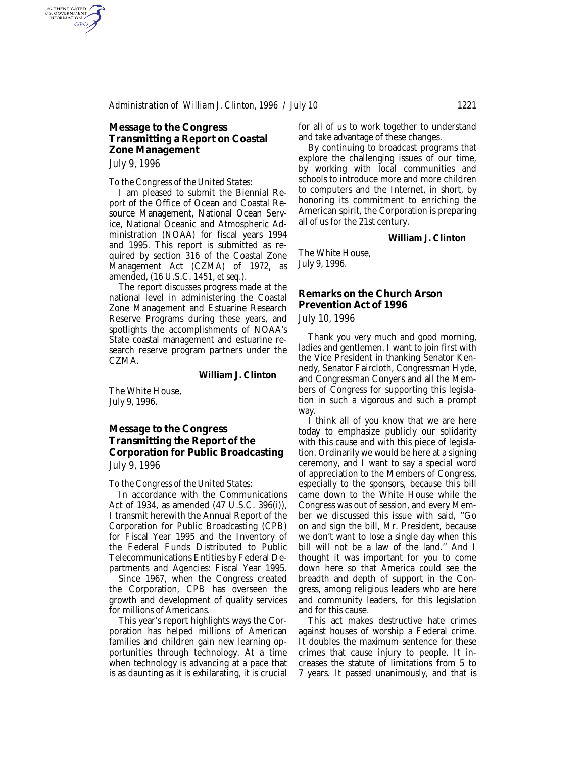## **Message to the Congress Transmitting a Report on Coastal Zone Management**

*July 9, 1996*

AUTHENTICATED<br>U.S. GOVERNMENT<br>INFORMATION GPO

#### *To the Congress of the United States:*

I am pleased to submit the Biennial Report of the Office of Ocean and Coastal Resource Management, National Ocean Service, National Oceanic and Atmospheric Administration (NOAA) for fiscal years 1994 and 1995. This report is submitted as required by section 316 of the Coastal Zone Management Act (CZMA) of 1972, as amended, (16 U.S.C. 1451, *et seq*.).

The report discusses progress made at the national level in administering the Coastal Zone Management and Estuarine Research Reserve Programs during these years, and spotlights the accomplishments of NOAA's State coastal management and estuarine research reserve program partners under the CZMA.

#### **William J. Clinton**

The White House, July 9, 1996.

## **Message to the Congress Transmitting the Report of the Corporation for Public Broadcasting**

*July 9, 1996*

#### *To the Congress of the United States:*

In accordance with the Communications Act of 1934, as amended (47 U.S.C. 396(i)), I transmit herewith the Annual Report of the Corporation for Public Broadcasting (CPB) for Fiscal Year 1995 and the Inventory of the Federal Funds Distributed to Public Telecommunications Entities by Federal Departments and Agencies: Fiscal Year 1995.

Since 1967, when the Congress created the Corporation, CPB has overseen the growth and development of quality services for millions of Americans.

This year's report highlights ways the Corporation has helped millions of American families and children gain new learning opportunities through technology. At a time when technology is advancing at a pace that is as daunting as it is exhilarating, it is crucial for all of us to work together to understand and take advantage of these changes.

By continuing to broadcast programs that explore the challenging issues of our time, by working with local communities and schools to introduce more and more children to computers and the Internet, in short, by honoring its commitment to enriching the American spirit, the Corporation is preparing all of us for the 21st century.

#### **William J. Clinton**

The White House, July 9, 1996.

### **Remarks on the Church Arson Prevention Act of 1996** *July 10, 1996*

Thank you very much and good morning, ladies and gentlemen. I want to join first with the Vice President in thanking Senator Kennedy, Senator Faircloth, Congressman Hyde, and Congressman Conyers and all the Members of Congress for supporting this legislation in such a vigorous and such a prompt way.

I think all of you know that we are here today to emphasize publicly our solidarity with this cause and with this piece of legislation. Ordinarily we would be here at a signing ceremony, and I want to say a special word of appreciation to the Members of Congress, especially to the sponsors, because this bill came down to the White House while the Congress was out of session, and every Member we discussed this issue with said, ''Go on and sign the bill, Mr. President, because we don't want to lose a single day when this bill will not be a law of the land.'' And I thought it was important for you to come down here so that America could see the breadth and depth of support in the Congress, among religious leaders who are here and community leaders, for this legislation and for this cause.

This act makes destructive hate crimes against houses of worship a Federal crime. It doubles the maximum sentence for these crimes that cause injury to people. It increases the statute of limitations from 5 to 7 years. It passed unanimously, and that is